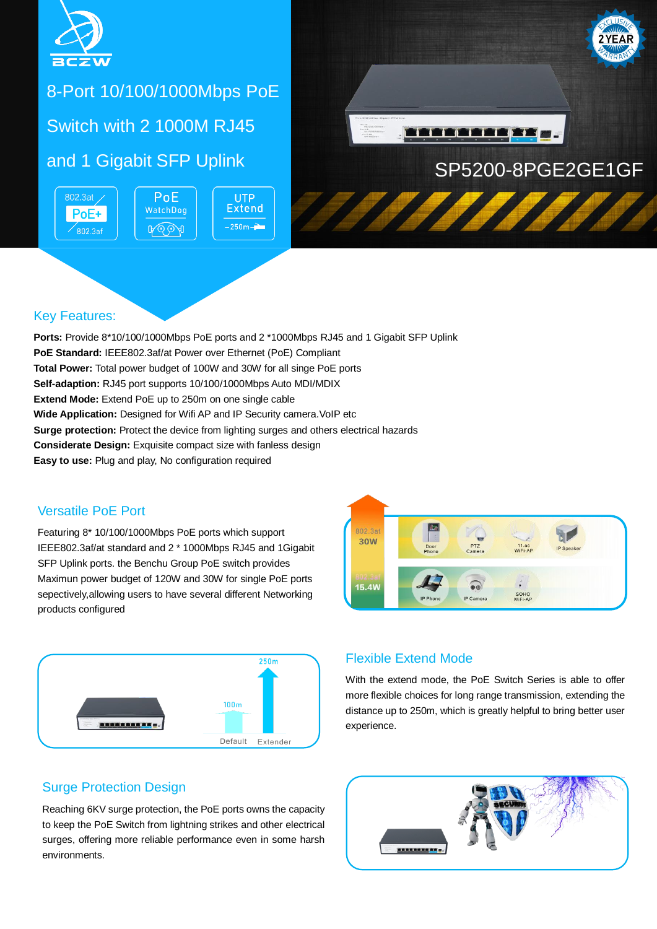

## 8-Port 10/100/1000Mbps PoE

## Switch with 2 1000M RJ45

802.3at / PoE+  $\overline{802.3}$ af



**UTP Extend**  $-250m -$ 



#### Key Features:

**Ports:** Provide 8\*10/100/1000Mbps PoE ports and 2 \*1000Mbps RJ45 and 1 Gigabit SFP Uplink **PoE Standard:** IEEE802.3af/at Power over Ethernet (PoE) Compliant **Total Power:** Total power budget of 100W and 30W for all singe PoE ports **Self-adaption:** RJ45 port supports 10/100/1000Mbps Auto MDI/MDIX **Extend Mode:** Extend PoE up to 250m on one single cable **Wide Application:** Designed for Wifi AP and IP Security camera. VoIP etc **Surge protection:** Protect the device from lighting surges and others electrical hazards **Considerate Design:** Exquisite compact size with fanless design **Easy to use:** Plug and play, No configuration required

#### Versatile PoE Port

Featuring 8\* 10/100/1000Mbps PoE ports which support IEEE802.3af/at standard and 2 \* 1000Mbps RJ45 and 1Gigabit SFP Uplink ports. the Benchu Group PoE switch provides Maximun power budget of 120W and 30W for single PoE ports sepectively,allowing users to have several different Networking products configured



#### 802.3a **RID 30W** PTZ<br>Camer 11.ac<br>WiFi-AP Door  $\widehat{\bullet}$ **15.4W** SOHO<br>WiFi-AF

#### Flexible Extend Mode

With the extend mode, the PoE Switch Series is able to offer more flexible choices for long range transmission, extending the distance up to 250m, which is greatly helpful to bring better user experience.

#### Surge Protection Design

Reaching 6KV surge protection, the PoE ports owns the capacity to keep the PoE Switch from lightning strikes and other electrical surges, offering more reliable performance even in some harsh environments.

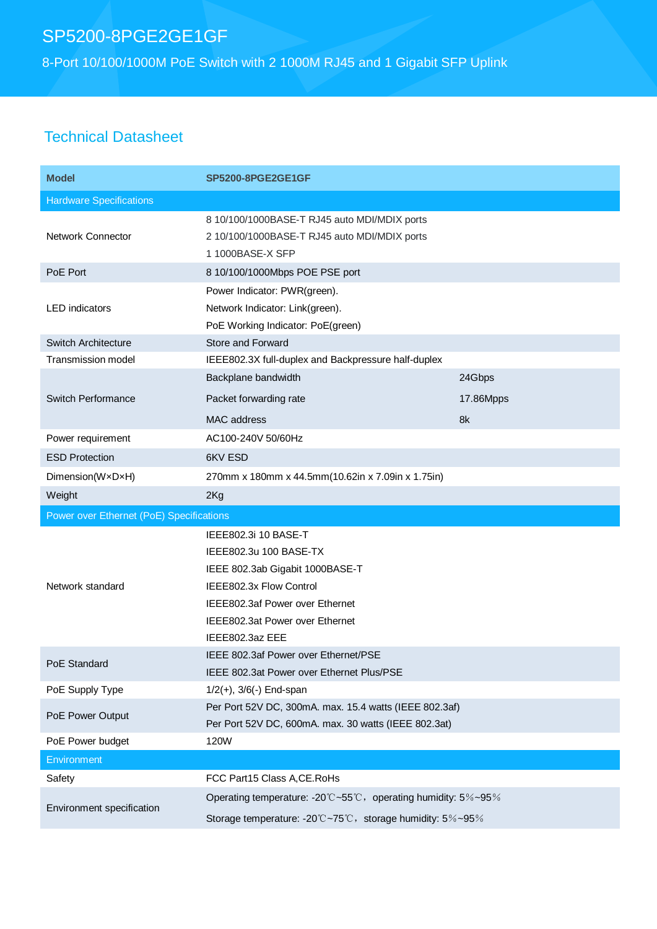# SP5200-8PGE2GE1GF

8-Port 10/100/1000M PoE Switch with 2 1000M RJ45 and 1 Gigabit SFP Uplink

## Technical Datasheet

| <b>Model</b>                             | <b>SP5200-8PGE2GE1GF</b>                                      |           |  |
|------------------------------------------|---------------------------------------------------------------|-----------|--|
| <b>Hardware Specifications</b>           |                                                               |           |  |
|                                          | 8 10/100/1000BASE-T RJ45 auto MDI/MDIX ports                  |           |  |
| <b>Network Connector</b>                 | 2 10/100/1000BASE-T RJ45 auto MDI/MDIX ports                  |           |  |
|                                          | 1 1000BASE-X SFP                                              |           |  |
| PoE Port                                 | 8 10/100/1000Mbps POE PSE port                                |           |  |
| <b>LED</b> indicators                    | Power Indicator: PWR(green).                                  |           |  |
|                                          | Network Indicator: Link(green).                               |           |  |
|                                          | PoE Working Indicator: PoE(green)                             |           |  |
| <b>Switch Architecture</b>               | <b>Store and Forward</b>                                      |           |  |
| <b>Transmission model</b>                | IEEE802.3X full-duplex and Backpressure half-duplex           |           |  |
| Switch Performance                       | Backplane bandwidth                                           | 24Gbps    |  |
|                                          | Packet forwarding rate                                        | 17.86Mpps |  |
|                                          | <b>MAC</b> address                                            | 8k        |  |
| Power requirement                        | AC100-240V 50/60Hz                                            |           |  |
| <b>ESD Protection</b>                    | 6KV ESD                                                       |           |  |
| Dimension(WxDxH)                         | 270mm x 180mm x 44.5mm(10.62in x 7.09in x 1.75in)             |           |  |
| Weight                                   | 2Kg                                                           |           |  |
| Power over Ethernet (PoE) Specifications |                                                               |           |  |
| Network standard                         | IEEE802.3i 10 BASE-T                                          |           |  |
|                                          | IEEE802.3u 100 BASE-TX                                        |           |  |
|                                          | IEEE 802.3ab Gigabit 1000BASE-T                               |           |  |
|                                          | IEEE802.3x Flow Control                                       |           |  |
|                                          | IEEE802.3af Power over Ethernet                               |           |  |
|                                          | IEEE802.3at Power over Ethernet                               |           |  |
|                                          | IEEE802.3az EEE                                               |           |  |
| PoE Standard                             | IEEE 802.3af Power over Ethernet/PSE                          |           |  |
|                                          | IEEE 802.3at Power over Ethernet Plus/PSE                     |           |  |
| PoE Supply Type                          | $1/2(+)$ , $3/6(-)$ End-span                                  |           |  |
| PoE Power Output                         | Per Port 52V DC, 300mA. max. 15.4 watts (IEEE 802.3af)        |           |  |
|                                          | Per Port 52V DC, 600mA. max. 30 watts (IEEE 802.3at)          |           |  |
| PoE Power budget                         | 120W                                                          |           |  |
| Environment                              |                                                               |           |  |
| Safety                                   | FCC Part15 Class A, CE. RoHs                                  |           |  |
| Environment specification                | Operating temperature: -20°C~55°C, operating humidity: 5%~95% |           |  |
|                                          | Storage temperature: -20°C~75°C, storage humidity: 5%~95%     |           |  |